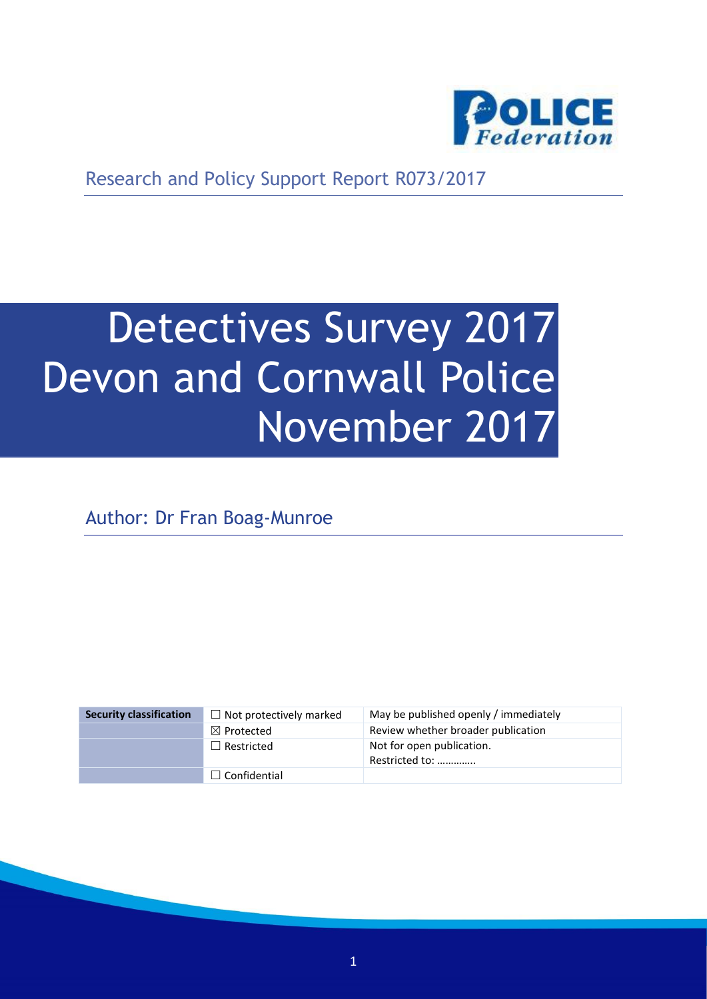

Research and Policy Support Report R073/2017

# Detectives Survey 2017 Devon and Cornwall Police November 2017

Author: Dr Fran Boag-Munroe

| <b>Security classification</b> | $\Box$ Not protectively marked | May be published openly / immediately       |
|--------------------------------|--------------------------------|---------------------------------------------|
|                                | $\boxtimes$ Protected          | Review whether broader publication          |
|                                | $\Box$ Restricted              | Not for open publication.<br>Restricted to: |
|                                | $\Box$ Confidential            |                                             |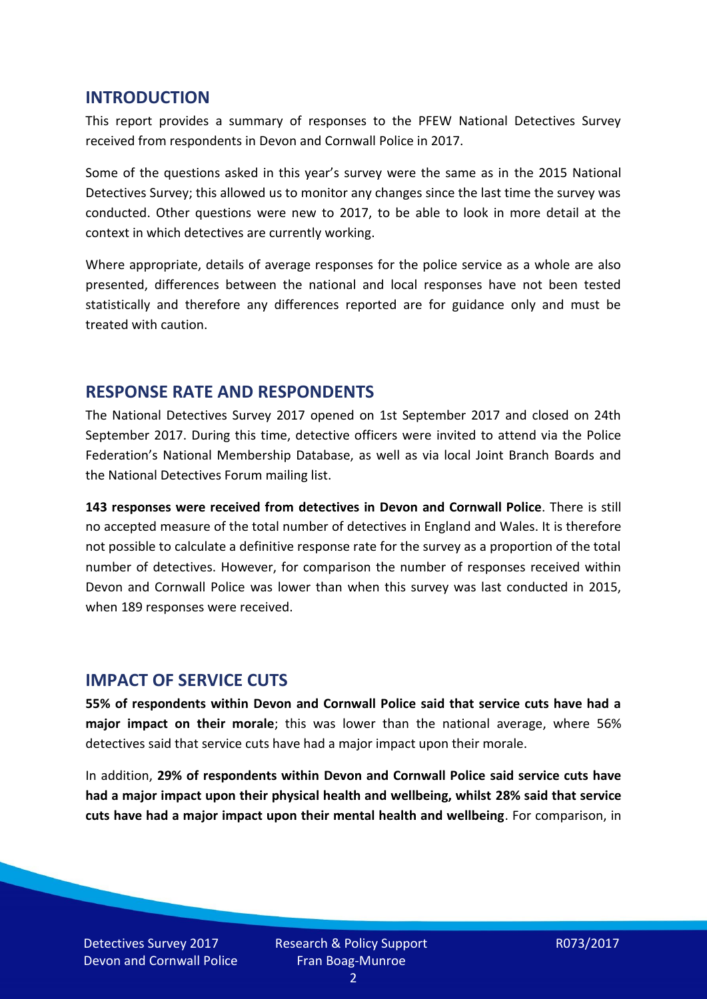#### **INTRODUCTION**

This report provides a summary of responses to the PFEW National Detectives Survey received from respondents in Devon and Cornwall Police in 2017.

Some of the questions asked in this year's survey were the same as in the 2015 National Detectives Survey; this allowed us to monitor any changes since the last time the survey was conducted. Other questions were new to 2017, to be able to look in more detail at the context in which detectives are currently working.

Where appropriate, details of average responses for the police service as a whole are also presented, differences between the national and local responses have not been tested statistically and therefore any differences reported are for guidance only and must be treated with caution.

#### **RESPONSE RATE AND RESPONDENTS**

The National Detectives Survey 2017 opened on 1st September 2017 and closed on 24th September 2017. During this time, detective officers were invited to attend via the Police Federation's National Membership Database, as well as via local Joint Branch Boards and the National Detectives Forum mailing list.

**143 responses were received from detectives in Devon and Cornwall Police**. There is still no accepted measure of the total number of detectives in England and Wales. It is therefore not possible to calculate a definitive response rate for the survey as a proportion of the total number of detectives. However, for comparison the number of responses received within Devon and Cornwall Police was lower than when this survey was last conducted in 2015, when 189 responses were received.

#### **IMPACT OF SERVICE CUTS**

**55% of respondents within Devon and Cornwall Police said that service cuts have had a major impact on their morale**; this was lower than the national average, where 56% detectives said that service cuts have had a major impact upon their morale.

In addition, **29% of respondents within Devon and Cornwall Police said service cuts have had a major impact upon their physical health and wellbeing, whilst 28% said that service cuts have had a major impact upon their mental health and wellbeing**. For comparison, in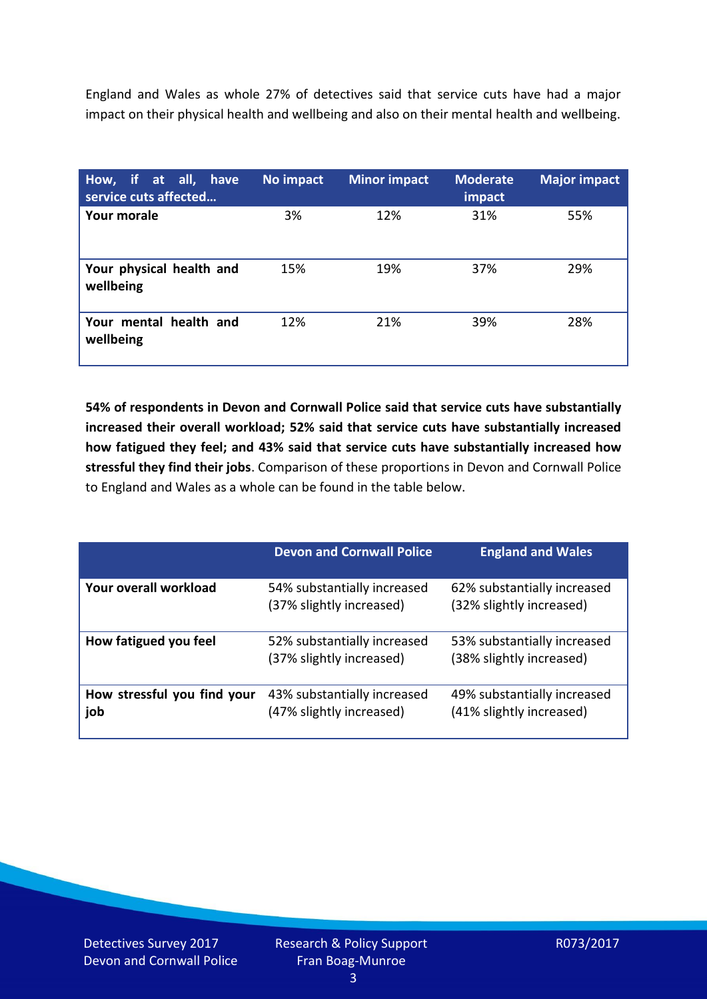England and Wales as whole 27% of detectives said that service cuts have had a major impact on their physical health and wellbeing and also on their mental health and wellbeing.

| How, if at all, have<br>service cuts affected | No impact | <b>Minor impact</b> | <b>Moderate</b><br>impact | <b>Major impact</b> |
|-----------------------------------------------|-----------|---------------------|---------------------------|---------------------|
| <b>Your morale</b>                            | 3%        | 12%                 | 31%                       | 55%                 |
| Your physical health and<br>wellbeing         | 15%       | 19%                 | 37%                       | 29%                 |
| Your mental health and<br>wellbeing           | 12%       | 21%                 | 39%                       | 28%                 |

**54% of respondents in Devon and Cornwall Police said that service cuts have substantially increased their overall workload; 52% said that service cuts have substantially increased how fatigued they feel; and 43% said that service cuts have substantially increased how stressful they find their jobs**. Comparison of these proportions in Devon and Cornwall Police to England and Wales as a whole can be found in the table below.

|                                    | <b>Devon and Cornwall Police</b>                        | <b>England and Wales</b>                                |
|------------------------------------|---------------------------------------------------------|---------------------------------------------------------|
| Your overall workload              | 54% substantially increased<br>(37% slightly increased) | 62% substantially increased<br>(32% slightly increased) |
| How fatigued you feel              | 52% substantially increased<br>(37% slightly increased) | 53% substantially increased<br>(38% slightly increased) |
| How stressful you find your<br>job | 43% substantially increased<br>(47% slightly increased) | 49% substantially increased<br>(41% slightly increased) |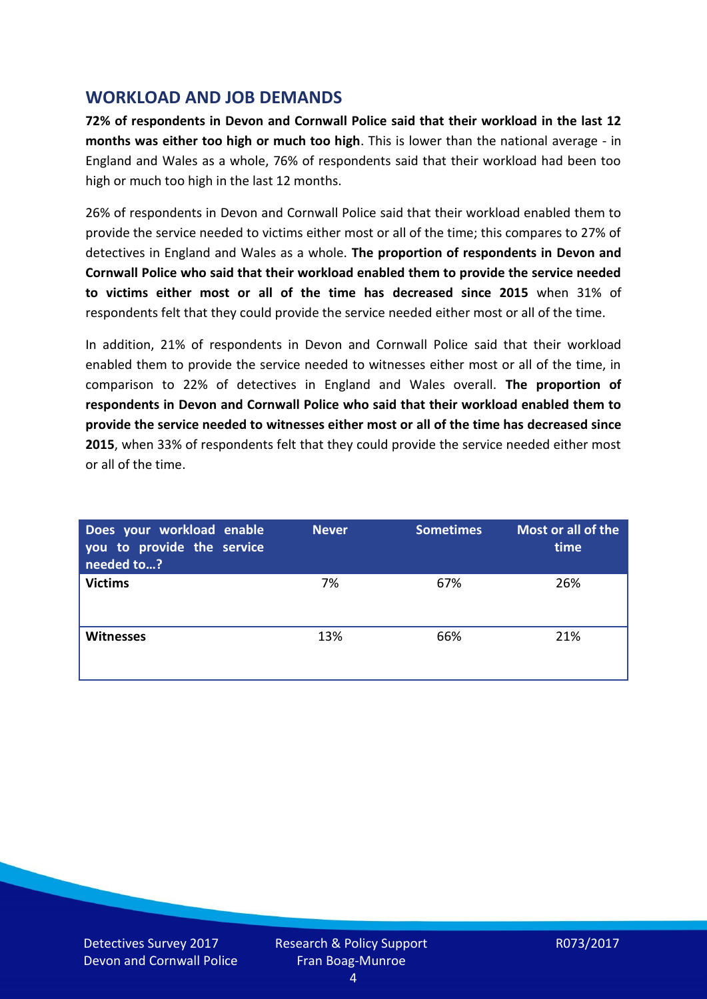### **WORKLOAD AND JOB DEMANDS**

**72% of respondents in Devon and Cornwall Police said that their workload in the last 12 months was either too high or much too high**. This is lower than the national average - in England and Wales as a whole, 76% of respondents said that their workload had been too high or much too high in the last 12 months.

26% of respondents in Devon and Cornwall Police said that their workload enabled them to provide the service needed to victims either most or all of the time; this compares to 27% of detectives in England and Wales as a whole. **The proportion of respondents in Devon and Cornwall Police who said that their workload enabled them to provide the service needed to victims either most or all of the time has decreased since 2015** when 31% of respondents felt that they could provide the service needed either most or all of the time.

In addition, 21% of respondents in Devon and Cornwall Police said that their workload enabled them to provide the service needed to witnesses either most or all of the time, in comparison to 22% of detectives in England and Wales overall. **The proportion of respondents in Devon and Cornwall Police who said that their workload enabled them to provide the service needed to witnesses either most or all of the time has decreased since 2015**, when 33% of respondents felt that they could provide the service needed either most or all of the time.

| Does your workload enable<br>you to provide the service<br>needed to? | <b>Never</b> | <b>Sometimes</b> | Most or all of the<br>time |
|-----------------------------------------------------------------------|--------------|------------------|----------------------------|
| <b>Victims</b>                                                        | 7%           | 67%              | 26%                        |
| <b>Witnesses</b>                                                      | 13%          | 66%              | 21%                        |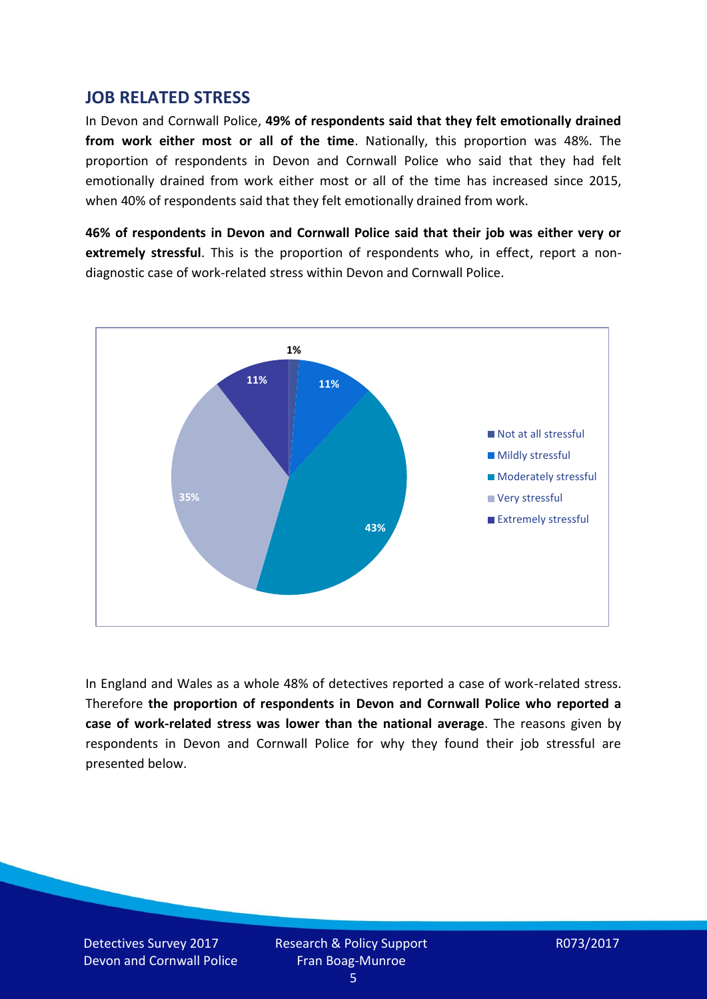#### **JOB RELATED STRESS**

In Devon and Cornwall Police, **49% of respondents said that they felt emotionally drained from work either most or all of the time**. Nationally, this proportion was 48%. The proportion of respondents in Devon and Cornwall Police who said that they had felt emotionally drained from work either most or all of the time has increased since 2015, when 40% of respondents said that they felt emotionally drained from work.

**46% of respondents in Devon and Cornwall Police said that their job was either very or extremely stressful**. This is the proportion of respondents who, in effect, report a nondiagnostic case of work-related stress within Devon and Cornwall Police.



In England and Wales as a whole 48% of detectives reported a case of work-related stress. Therefore **the proportion of respondents in Devon and Cornwall Police who reported a case of work-related stress was lower than the national average**. The reasons given by respondents in Devon and Cornwall Police for why they found their job stressful are presented below.

Detectives Survey 2017 Devon and Cornwall Police Research & Policy Support Fran Boag-Munroe

R073/2017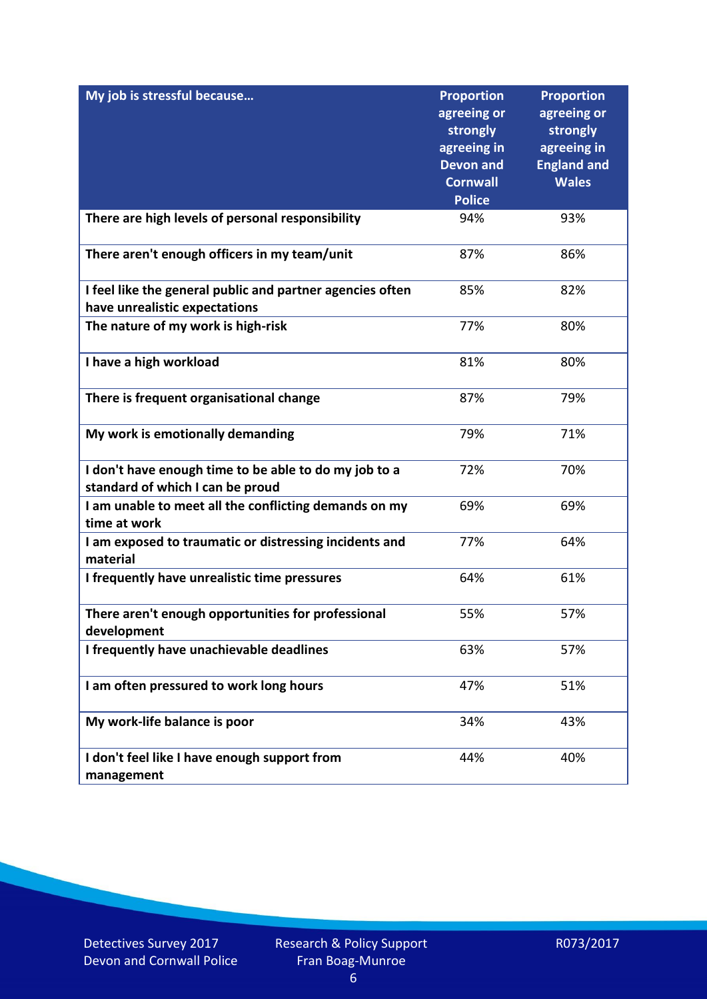| My job is stressful because                                                                | <b>Proportion</b><br>agreeing or<br>strongly<br>agreeing in<br><b>Devon and</b><br><b>Cornwall</b><br><b>Police</b> | <b>Proportion</b><br>agreeing or<br>strongly<br>agreeing in<br><b>England and</b><br><b>Wales</b> |
|--------------------------------------------------------------------------------------------|---------------------------------------------------------------------------------------------------------------------|---------------------------------------------------------------------------------------------------|
| There are high levels of personal responsibility                                           | 94%                                                                                                                 | 93%                                                                                               |
| There aren't enough officers in my team/unit                                               | 87%                                                                                                                 | 86%                                                                                               |
| I feel like the general public and partner agencies often<br>have unrealistic expectations | 85%                                                                                                                 | 82%                                                                                               |
| The nature of my work is high-risk                                                         | 77%                                                                                                                 | 80%                                                                                               |
| I have a high workload                                                                     | 81%                                                                                                                 | 80%                                                                                               |
| There is frequent organisational change                                                    | 87%                                                                                                                 | 79%                                                                                               |
| My work is emotionally demanding                                                           | 79%                                                                                                                 | 71%                                                                                               |
| I don't have enough time to be able to do my job to a<br>standard of which I can be proud  | 72%                                                                                                                 | 70%                                                                                               |
| I am unable to meet all the conflicting demands on my<br>time at work                      | 69%                                                                                                                 | 69%                                                                                               |
| I am exposed to traumatic or distressing incidents and<br>material                         | 77%                                                                                                                 | 64%                                                                                               |
| I frequently have unrealistic time pressures                                               | 64%                                                                                                                 | 61%                                                                                               |
| There aren't enough opportunities for professional<br>development                          | 55%                                                                                                                 | 57%                                                                                               |
| I frequently have unachievable deadlines                                                   | 63%                                                                                                                 | 57%                                                                                               |
| I am often pressured to work long hours                                                    | 47%                                                                                                                 | 51%                                                                                               |
| My work-life balance is poor                                                               | 34%                                                                                                                 | 43%                                                                                               |
| I don't feel like I have enough support from<br>management                                 | 44%                                                                                                                 | 40%                                                                                               |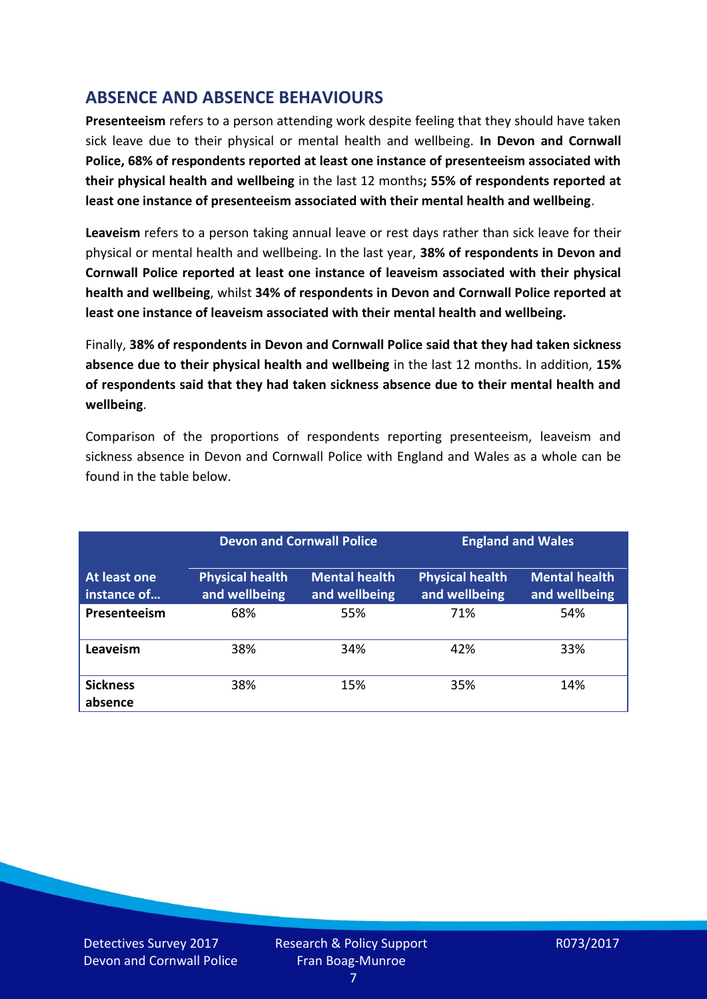## **ABSENCE AND ABSENCE BEHAVIOURS**

**Presenteeism** refers to a person attending work despite feeling that they should have taken sick leave due to their physical or mental health and wellbeing. **In Devon and Cornwall Police, 68% of respondents reported at least one instance of presenteeism associated with their physical health and wellbeing** in the last 12 months**; 55% of respondents reported at least one instance of presenteeism associated with their mental health and wellbeing**.

**Leaveism** refers to a person taking annual leave or rest days rather than sick leave for their physical or mental health and wellbeing. In the last year, **38% of respondents in Devon and Cornwall Police reported at least one instance of leaveism associated with their physical health and wellbeing**, whilst **34% of respondents in Devon and Cornwall Police reported at least one instance of leaveism associated with their mental health and wellbeing.**

Finally, **38% of respondents in Devon and Cornwall Police said that they had taken sickness absence due to their physical health and wellbeing** in the last 12 months. In addition, **15% of respondents said that they had taken sickness absence due to their mental health and wellbeing**.

Comparison of the proportions of respondents reporting presenteeism, leaveism and sickness absence in Devon and Cornwall Police with England and Wales as a whole can be found in the table below.

|                             |                                         | <b>Devon and Cornwall Police</b>      |                                         | <b>England and Wales</b>              |  |
|-----------------------------|-----------------------------------------|---------------------------------------|-----------------------------------------|---------------------------------------|--|
| At least one<br>instance of | <b>Physical health</b><br>and wellbeing | <b>Mental health</b><br>and wellbeing | <b>Physical health</b><br>and wellbeing | <b>Mental health</b><br>and wellbeing |  |
| Presenteeism                | 68%                                     | 55%                                   | 71%                                     | 54%                                   |  |
| Leaveism                    | 38%                                     | 34%                                   | 42%                                     | 33%                                   |  |
| <b>Sickness</b><br>absence  | 38%                                     | 15%                                   | 35%                                     | 14%                                   |  |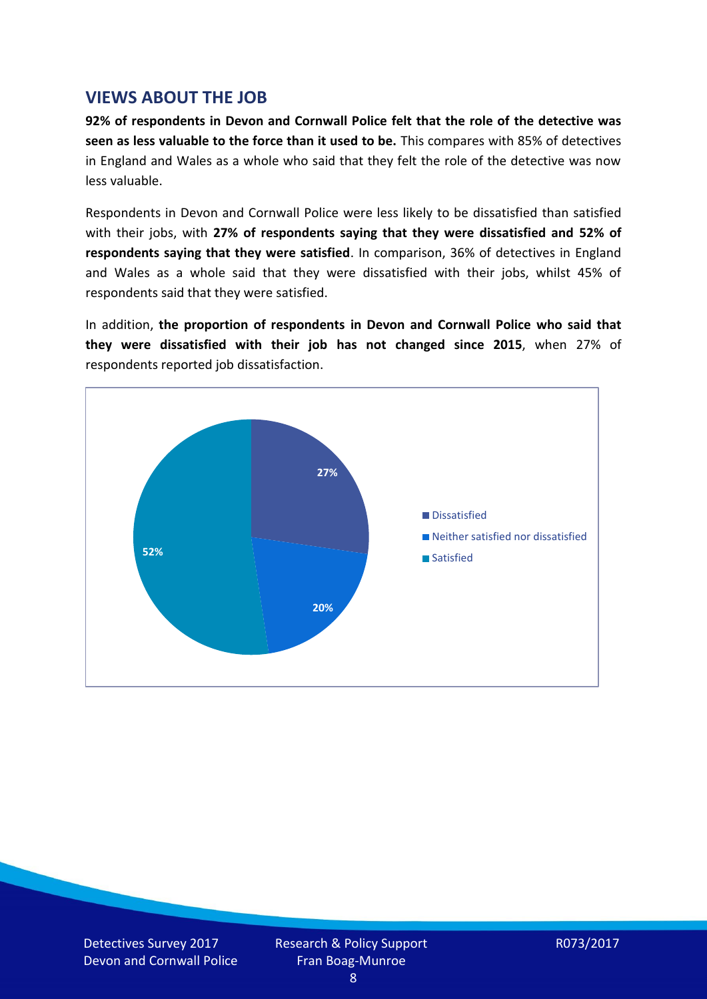#### **VIEWS ABOUT THE JOB**

**92% of respondents in Devon and Cornwall Police felt that the role of the detective was seen as less valuable to the force than it used to be.** This compares with 85% of detectives in England and Wales as a whole who said that they felt the role of the detective was now less valuable.

Respondents in Devon and Cornwall Police were less likely to be dissatisfied than satisfied with their jobs, with **27% of respondents saying that they were dissatisfied and 52% of respondents saying that they were satisfied**. In comparison, 36% of detectives in England and Wales as a whole said that they were dissatisfied with their jobs, whilst 45% of respondents said that they were satisfied.

In addition, **the proportion of respondents in Devon and Cornwall Police who said that they were dissatisfied with their job has not changed since 2015**, when 27% of respondents reported job dissatisfaction.



Detectives Survey 2017 Devon and Cornwall Police Research & Policy Support Fran Boag-Munroe

R073/2017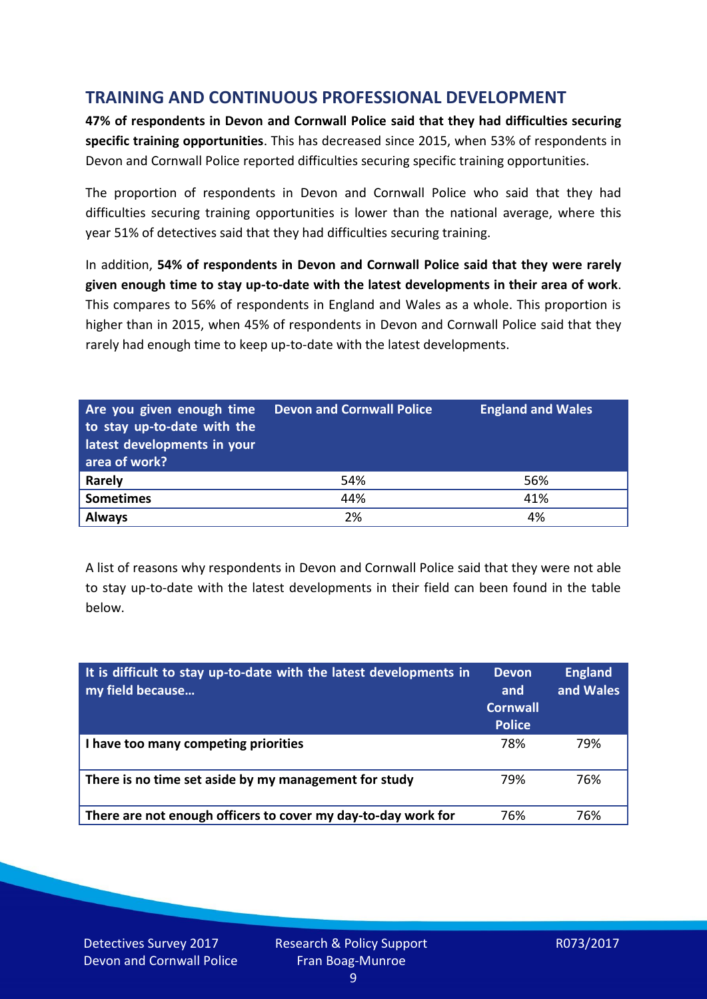## **TRAINING AND CONTINUOUS PROFESSIONAL DEVELOPMENT**

**47% of respondents in Devon and Cornwall Police said that they had difficulties securing specific training opportunities**. This has decreased since 2015, when 53% of respondents in Devon and Cornwall Police reported difficulties securing specific training opportunities.

The proportion of respondents in Devon and Cornwall Police who said that they had difficulties securing training opportunities is lower than the national average, where this year 51% of detectives said that they had difficulties securing training.

In addition, **54% of respondents in Devon and Cornwall Police said that they were rarely given enough time to stay up-to-date with the latest developments in their area of work**. This compares to 56% of respondents in England and Wales as a whole. This proportion is higher than in 2015, when 45% of respondents in Devon and Cornwall Police said that they rarely had enough time to keep up-to-date with the latest developments.

| Are you given enough time<br>to stay up-to-date with the<br>latest developments in your<br>area of work? | <b>Devon and Cornwall Police</b> | <b>England and Wales</b> |
|----------------------------------------------------------------------------------------------------------|----------------------------------|--------------------------|
| <b>Rarely</b>                                                                                            | 54%                              | 56%                      |
| <b>Sometimes</b>                                                                                         | 44%                              | 41%                      |
| <b>Always</b>                                                                                            | 2%                               | 4%                       |

A list of reasons why respondents in Devon and Cornwall Police said that they were not able to stay up-to-date with the latest developments in their field can been found in the table below.

| It is difficult to stay up-to-date with the latest developments in<br>my field because | <b>Devon</b><br>and<br><b>Cornwall</b><br><b>Police</b> | <b>England</b><br>and Wales |
|----------------------------------------------------------------------------------------|---------------------------------------------------------|-----------------------------|
| I have too many competing priorities                                                   | 78%                                                     | 79%                         |
| There is no time set aside by my management for study                                  | 79%                                                     | 76%                         |
| There are not enough officers to cover my day-to-day work for                          | 76%                                                     | 76%                         |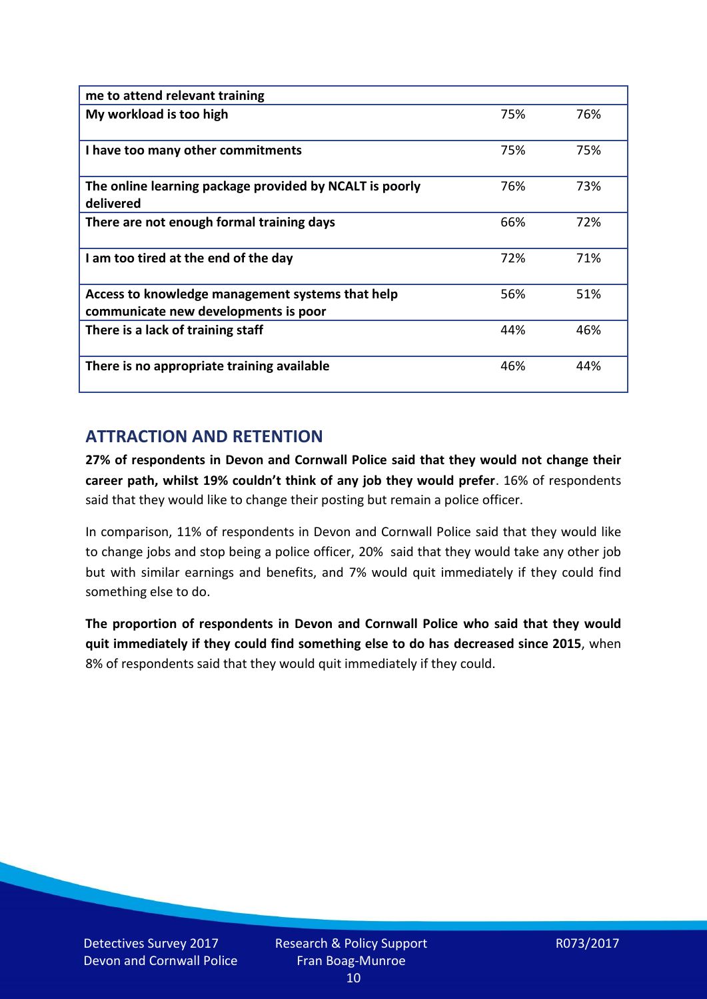| me to attend relevant training                                                           |     |     |
|------------------------------------------------------------------------------------------|-----|-----|
| My workload is too high                                                                  | 75% | 76% |
| I have too many other commitments                                                        | 75% | 75% |
| The online learning package provided by NCALT is poorly<br>delivered                     | 76% | 73% |
| There are not enough formal training days                                                | 66% | 72% |
| I am too tired at the end of the day                                                     | 72% | 71% |
| Access to knowledge management systems that help<br>communicate new developments is poor | 56% | 51% |
| There is a lack of training staff                                                        | 44% | 46% |
| There is no appropriate training available                                               | 46% | 44% |

## **ATTRACTION AND RETENTION**

**27% of respondents in Devon and Cornwall Police said that they would not change their career path, whilst 19% couldn't think of any job they would prefer**. 16% of respondents said that they would like to change their posting but remain a police officer.

In comparison, 11% of respondents in Devon and Cornwall Police said that they would like to change jobs and stop being a police officer, 20% said that they would take any other job but with similar earnings and benefits, and 7% would quit immediately if they could find something else to do.

**The proportion of respondents in Devon and Cornwall Police who said that they would quit immediately if they could find something else to do has decreased since 2015**, when 8% of respondents said that they would quit immediately if they could.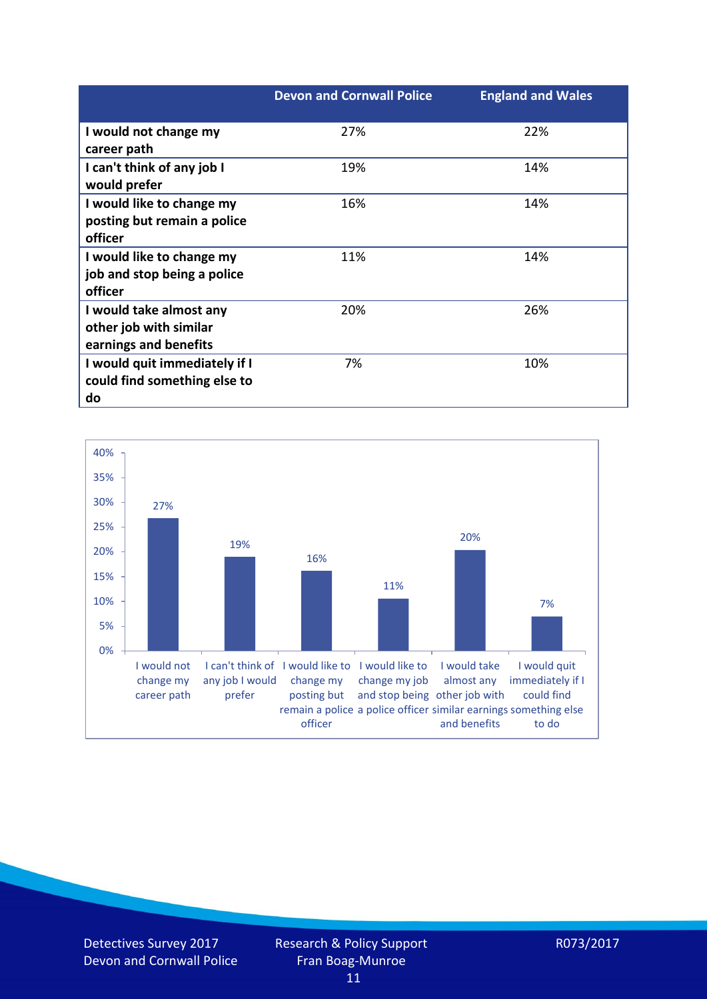|                                                                            | <b>Devon and Cornwall Police</b> | <b>England and Wales</b> |
|----------------------------------------------------------------------------|----------------------------------|--------------------------|
| I would not change my<br>career path                                       | 27%                              | 22%                      |
| I can't think of any job I<br>would prefer                                 | 19%                              | 14%                      |
| I would like to change my<br>posting but remain a police<br>officer        | 16%                              | 14%                      |
| I would like to change my<br>job and stop being a police<br>officer        | 11%                              | 14%                      |
| I would take almost any<br>other job with similar<br>earnings and benefits | 20%                              | 26%                      |
| I would quit immediately if I<br>could find something else to<br>do        | 7%                               | 10%                      |